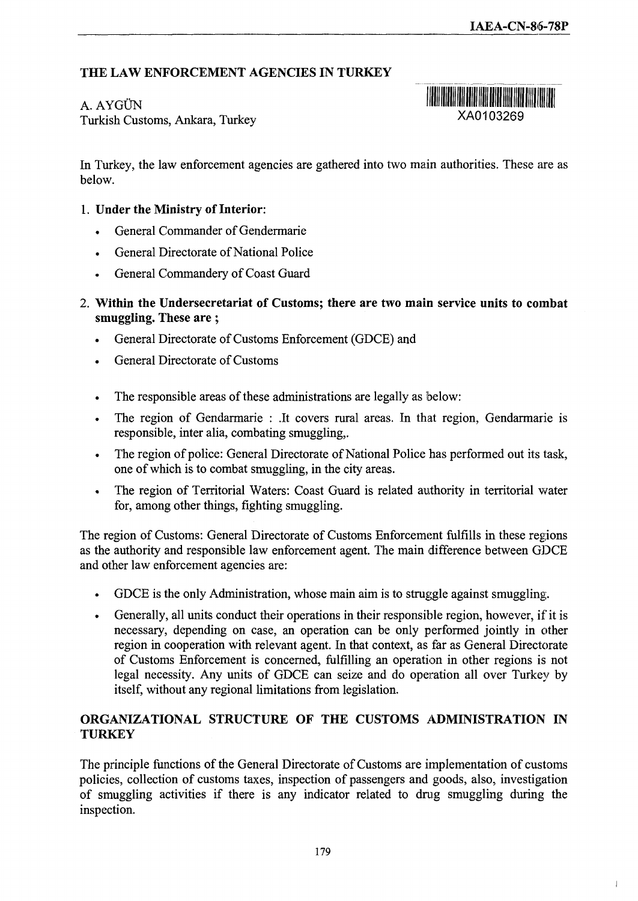## **THE LAW ENFORCEMENT AGENCIES IN TURKEY**

## A. AYGÜN

Turkish Customs, Ankara, Turkey



In Turkey, the law enforcement agencies are gathered into two main authorities. These are as below.

## **1. Under the Ministry of Interior:**

- General Commander of Gendermarie
- General Directorate of National Police
- General Commandery of Coast Guard
- 2. **Within the Undersecretariat of Customs; there are two main service units to combat smuggling. These are**;
	- General Directorate of Customs Enforcement (GDCE) and
	- General Directorate of Customs
	- The responsible areas of these administrations are legally as below:
	- The region of Gendarmarie : .It covers rural areas. In that region, Gendarmarie is responsible, inter alia, combating smuggling,.
	- The region of police: General Directorate of National Police has performed out its task, one of which is to combat smuggling, in the city areas.
	- The region of Territorial Waters: Coast Guard is related authority in territorial water for, among other things, fighting smuggling.

The region of Customs: General Directorate of Customs Enforcement fulfills in these regions as the authority and responsible law enforcement agent. The main difference between GDCE and other law enforcement agencies are:

- GDCE is the only Administration, whose main aim is to struggle against smuggling.
- Generally, all units conduct their operations in their responsible region, however, if it is necessary, depending on case, an operation can be only performed jointly in other region in cooperation with relevant agent. In that context, as far as General Directorate of Customs Enforcement is concerned, fulfilling an operation in other regions is not legal necessity. Any units of GDCE can seize and do operation all over Turkey by itself, without any regional limitations from legislation.

## **ORGANIZATIONAL STRUCTURE OF THE CUSTOMS ADMINISTRATION IN TURKEY**

The principle functions of the General Directorate of Customs are implementation of customs policies, collection of customs taxes, inspection of passengers and goods, also, investigation of smuggling activities if there is any indicator related to drag smuggling during the inspection.